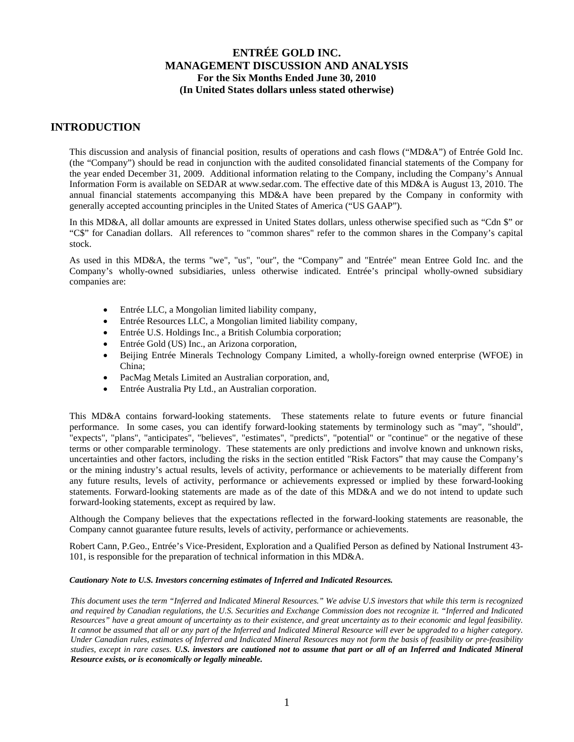## **INTRODUCTION**

This discussion and analysis of financial position, results of operations and cash flows ("MD&A") of Entrée Gold Inc. (the "Company") should be read in conjunction with the audited consolidated financial statements of the Company for the year ended December 31, 2009. Additional information relating to the Company, including the Company's Annual Information Form is available on SEDAR at www.sedar.com. The effective date of this MD&A is August 13, 2010. The annual financial statements accompanying this MD&A have been prepared by the Company in conformity with generally accepted accounting principles in the United States of America ("US GAAP").

In this MD&A, all dollar amounts are expressed in United States dollars, unless otherwise specified such as "Cdn \$" or "C\$" for Canadian dollars. All references to "common shares" refer to the common shares in the Company's capital stock.

As used in this MD&A, the terms "we", "us", "our", the "Company" and "Entrée" mean Entree Gold Inc. and the Company's wholly-owned subsidiaries, unless otherwise indicated. Entrée's principal wholly-owned subsidiary companies are:

- Entrée LLC, a Mongolian limited liability company,
- Entrée Resources LLC, a Mongolian limited liability company,
- Entrée U.S. Holdings Inc., a British Columbia corporation;
- Entrée Gold (US) Inc., an Arizona corporation,
- Beijing Entrée Minerals Technology Company Limited, a wholly-foreign owned enterprise (WFOE) in China;
- PacMag Metals Limited an Australian corporation, and,
- Entrée Australia Pty Ltd., an Australian corporation.

This MD&A contains forward-looking statements. These statements relate to future events or future financial performance. In some cases, you can identify forward-looking statements by terminology such as "may", "should", "expects", "plans", "anticipates", "believes", "estimates", "predicts", "potential" or "continue" or the negative of these terms or other comparable terminology. These statements are only predictions and involve known and unknown risks, uncertainties and other factors, including the risks in the section entitled "Risk Factors" that may cause the Company's or the mining industry's actual results, levels of activity, performance or achievements to be materially different from any future results, levels of activity, performance or achievements expressed or implied by these forward-looking statements. Forward-looking statements are made as of the date of this MD&A and we do not intend to update such forward-looking statements, except as required by law.

Although the Company believes that the expectations reflected in the forward-looking statements are reasonable, the Company cannot guarantee future results, levels of activity, performance or achievements.

Robert Cann, P.Geo., Entrée's Vice-President, Exploration and a Qualified Person as defined by National Instrument 43- 101, is responsible for the preparation of technical information in this MD&A.

#### *Cautionary Note to U.S. Investors concerning estimates of Inferred and Indicated Resources.*

*This document uses the term "Inferred and Indicated Mineral Resources." We advise U.S investors that while this term is recognized and required by Canadian regulations, the U.S. Securities and Exchange Commission does not recognize it. "Inferred and Indicated Resources" have a great amount of uncertainty as to their existence, and great uncertainty as to their economic and legal feasibility. It cannot be assumed that all or any part of the Inferred and Indicated Mineral Resource will ever be upgraded to a higher category. Under Canadian rules, estimates of Inferred and Indicated Mineral Resources may not form the basis of feasibility or pre-feasibility studies, except in rare cases. U.S. investors are cautioned not to assume that part or all of an Inferred and Indicated Mineral Resource exists, or is economically or legally mineable.*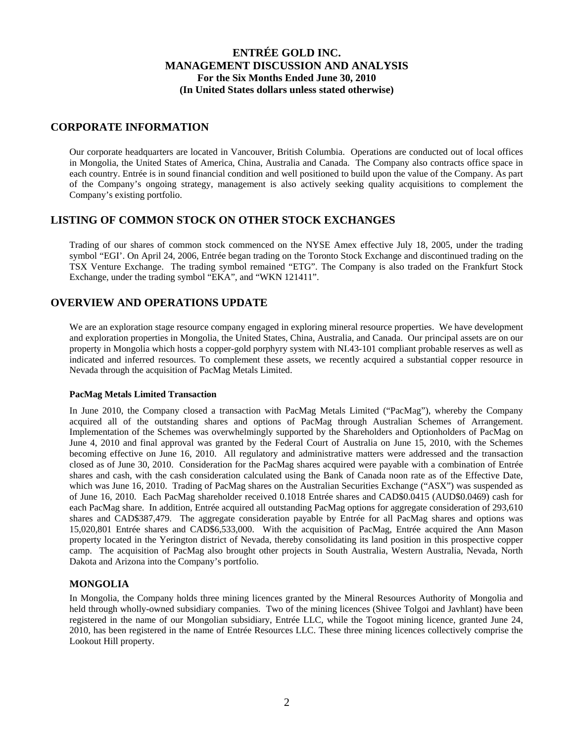## **CORPORATE INFORMATION**

Our corporate headquarters are located in Vancouver, British Columbia. Operations are conducted out of local offices in Mongolia, the United States of America, China, Australia and Canada. The Company also contracts office space in each country. Entrée is in sound financial condition and well positioned to build upon the value of the Company. As part of the Company's ongoing strategy, management is also actively seeking quality acquisitions to complement the Company's existing portfolio.

## **LISTING OF COMMON STOCK ON OTHER STOCK EXCHANGES**

Trading of our shares of common stock commenced on the NYSE Amex effective July 18, 2005, under the trading symbol "EGI'. On April 24, 2006, Entrée began trading on the Toronto Stock Exchange and discontinued trading on the TSX Venture Exchange. The trading symbol remained "ETG". The Company is also traded on the Frankfurt Stock Exchange, under the trading symbol "EKA", and "WKN 121411".

# **OVERVIEW AND OPERATIONS UPDATE**

We are an exploration stage resource company engaged in exploring mineral resource properties. We have development and exploration properties in Mongolia, the United States, China, Australia, and Canada. Our principal assets are on our property in Mongolia which hosts a copper-gold porphyry system with NI.43-101 compliant probable reserves as well as indicated and inferred resources. To complement these assets, we recently acquired a substantial copper resource in Nevada through the acquisition of PacMag Metals Limited.

### **PacMag Metals Limited Transaction**

In June 2010, the Company closed a transaction with PacMag Metals Limited ("PacMag"), whereby the Company acquired all of the outstanding shares and options of PacMag through Australian Schemes of Arrangement. Implementation of the Schemes was overwhelmingly supported by the Shareholders and Optionholders of PacMag on June 4, 2010 and final approval was granted by the Federal Court of Australia on June 15, 2010, with the Schemes becoming effective on June 16, 2010. All regulatory and administrative matters were addressed and the transaction closed as of June 30, 2010. Consideration for the PacMag shares acquired were payable with a combination of Entrée shares and cash, with the cash consideration calculated using the Bank of Canada noon rate as of the Effective Date, which was June 16, 2010. Trading of PacMag shares on the Australian Securities Exchange ("ASX") was suspended as of June 16, 2010. Each PacMag shareholder received 0.1018 Entrée shares and CAD\$0.0415 (AUD\$0.0469) cash for each PacMag share. In addition, Entrée acquired all outstanding PacMag options for aggregate consideration of 293,610 shares and CAD\$387,479. The aggregate consideration payable by Entrée for all PacMag shares and options was 15,020,801 Entrée shares and CAD\$6,533,000. With the acquisition of PacMag, Entrée acquired the Ann Mason property located in the Yerington district of Nevada, thereby consolidating its land position in this prospective copper camp. The acquisition of PacMag also brought other projects in South Australia, Western Australia, Nevada, North Dakota and Arizona into the Company's portfolio.

## **MONGOLIA**

In Mongolia, the Company holds three mining licences granted by the Mineral Resources Authority of Mongolia and held through wholly-owned subsidiary companies. Two of the mining licences (Shivee Tolgoi and Javhlant) have been registered in the name of our Mongolian subsidiary, Entrée LLC, while the Togoot mining licence, granted June 24, 2010, has been registered in the name of Entrée Resources LLC. These three mining licences collectively comprise the Lookout Hill property.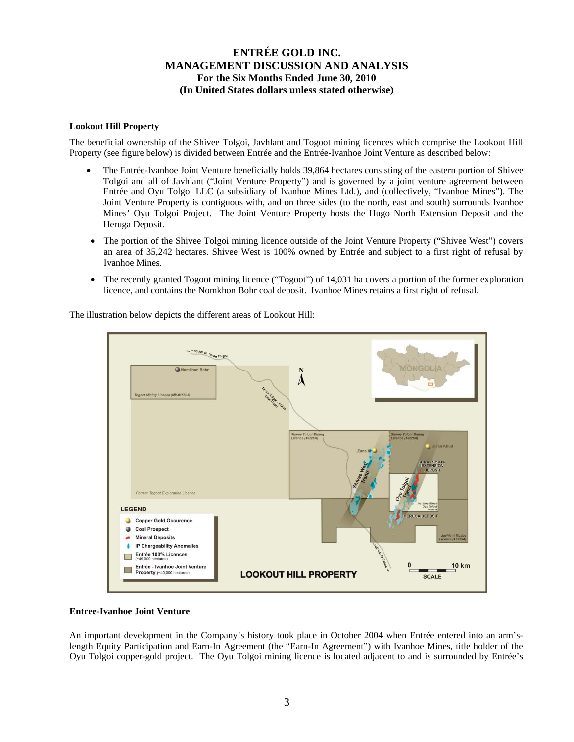### **Lookout Hill Property**

The beneficial ownership of the Shivee Tolgoi, Javhlant and Togoot mining licences which comprise the Lookout Hill Property (see figure below) is divided between Entrée and the Entrée-Ivanhoe Joint Venture as described below:

- The Entrée-Ivanhoe Joint Venture beneficially holds 39,864 hectares consisting of the eastern portion of Shivee Tolgoi and all of Javhlant ("Joint Venture Property") and is governed by a joint venture agreement between Entrée and Oyu Tolgoi LLC (a subsidiary of Ivanhoe Mines Ltd.), and (collectively, "Ivanhoe Mines"). The Joint Venture Property is contiguous with, and on three sides (to the north, east and south) surrounds Ivanhoe Mines' Oyu Tolgoi Project. The Joint Venture Property hosts the Hugo North Extension Deposit and the Heruga Deposit.
- The portion of the Shivee Tolgoi mining licence outside of the Joint Venture Property ("Shivee West") covers an area of 35,242 hectares. Shivee West is 100% owned by Entrée and subject to a first right of refusal by Ivanhoe Mines.
- The recently granted Togoot mining licence ("Togoot") of 14,031 ha covers a portion of the former exploration licence, and contains the Nomkhon Bohr coal deposit. Ivanhoe Mines retains a first right of refusal.

The illustration below depicts the different areas of Lookout Hill:



#### **Entree-Ivanhoe Joint Venture**

An important development in the Company's history took place in October 2004 when Entrée entered into an arm'slength Equity Participation and Earn-In Agreement (the "Earn-In Agreement") with Ivanhoe Mines, title holder of the Oyu Tolgoi copper-gold project. The Oyu Tolgoi mining licence is located adjacent to and is surrounded by Entrée's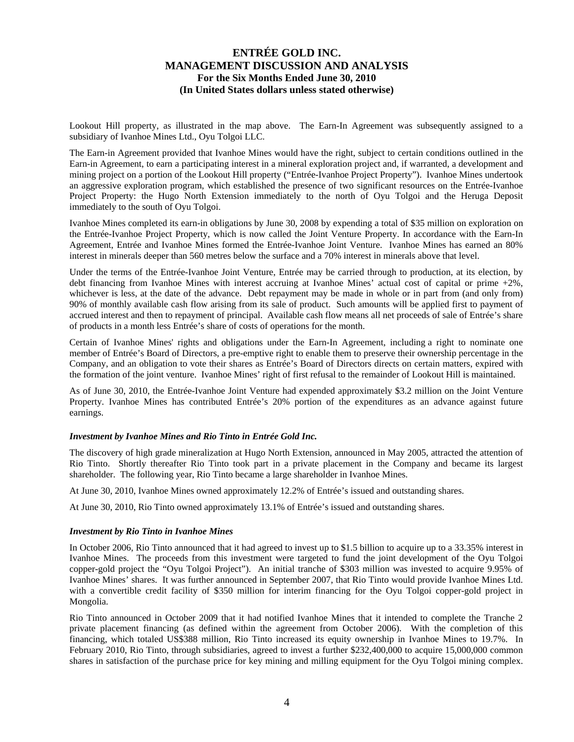Lookout Hill property, as illustrated in the map above. The Earn-In Agreement was subsequently assigned to a subsidiary of Ivanhoe Mines Ltd., Oyu Tolgoi LLC.

The Earn-in Agreement provided that Ivanhoe Mines would have the right, subject to certain conditions outlined in the Earn-in Agreement, to earn a participating interest in a mineral exploration project and, if warranted, a development and mining project on a portion of the Lookout Hill property ("Entrée-Ivanhoe Project Property"). Ivanhoe Mines undertook an aggressive exploration program, which established the presence of two significant resources on the Entrée-Ivanhoe Project Property: the Hugo North Extension immediately to the north of Oyu Tolgoi and the Heruga Deposit immediately to the south of Oyu Tolgoi.

Ivanhoe Mines completed its earn-in obligations by June 30, 2008 by expending a total of \$35 million on exploration on the Entrée-Ivanhoe Project Property, which is now called the Joint Venture Property. In accordance with the Earn-In Agreement, Entrée and Ivanhoe Mines formed the Entrée-Ivanhoe Joint Venture. Ivanhoe Mines has earned an 80% interest in minerals deeper than 560 metres below the surface and a 70% interest in minerals above that level.

Under the terms of the Entrée-Ivanhoe Joint Venture, Entrée may be carried through to production, at its election, by debt financing from Ivanhoe Mines with interest accruing at Ivanhoe Mines' actual cost of capital or prime +2%, whichever is less, at the date of the advance. Debt repayment may be made in whole or in part from (and only from) 90% of monthly available cash flow arising from its sale of product. Such amounts will be applied first to payment of accrued interest and then to repayment of principal. Available cash flow means all net proceeds of sale of Entrée's share of products in a month less Entrée's share of costs of operations for the month.

Certain of Ivanhoe Mines' rights and obligations under the Earn-In Agreement, including a right to nominate one member of Entrée's Board of Directors, a pre-emptive right to enable them to preserve their ownership percentage in the Company, and an obligation to vote their shares as Entrée's Board of Directors directs on certain matters, expired with the formation of the joint venture. Ivanhoe Mines' right of first refusal to the remainder of Lookout Hill is maintained.

As of June 30, 2010, the Entrée-Ivanhoe Joint Venture had expended approximately \$3.2 million on the Joint Venture Property. Ivanhoe Mines has contributed Entrée's 20% portion of the expenditures as an advance against future earnings.

#### *Investment by Ivanhoe Mines and Rio Tinto in Entrée Gold Inc.*

The discovery of high grade mineralization at Hugo North Extension, announced in May 2005, attracted the attention of Rio Tinto. Shortly thereafter Rio Tinto took part in a private placement in the Company and became its largest shareholder. The following year, Rio Tinto became a large shareholder in Ivanhoe Mines.

At June 30, 2010, Ivanhoe Mines owned approximately 12.2% of Entrée's issued and outstanding shares.

At June 30, 2010, Rio Tinto owned approximately 13.1% of Entrée's issued and outstanding shares.

#### *Investment by Rio Tinto in Ivanhoe Mines*

In October 2006, Rio Tinto announced that it had agreed to invest up to \$1.5 billion to acquire up to a 33.35% interest in Ivanhoe Mines. The proceeds from this investment were targeted to fund the joint development of the Oyu Tolgoi copper-gold project the "Oyu Tolgoi Project"). An initial tranche of \$303 million was invested to acquire 9.95% of Ivanhoe Mines' shares. It was further announced in September 2007, that Rio Tinto would provide Ivanhoe Mines Ltd. with a convertible credit facility of \$350 million for interim financing for the Oyu Tolgoi copper-gold project in Mongolia.

Rio Tinto announced in October 2009 that it had notified Ivanhoe Mines that it intended to complete the Tranche 2 private placement financing (as defined within the agreement from October 2006). With the completion of this financing, which totaled US\$388 million, Rio Tinto increased its equity ownership in Ivanhoe Mines to 19.7%. In February 2010, Rio Tinto, through subsidiaries, agreed to invest a further \$232,400,000 to acquire 15,000,000 common shares in satisfaction of the purchase price for key mining and milling equipment for the Oyu Tolgoi mining complex.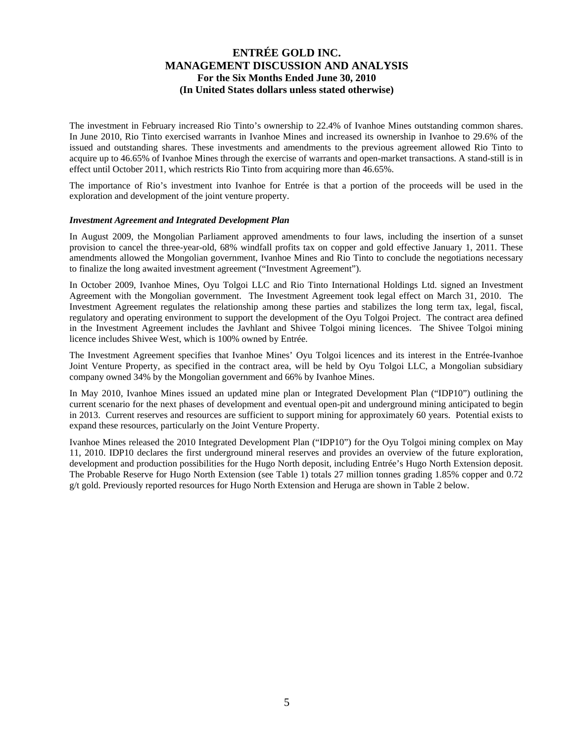The investment in February increased Rio Tinto's ownership to 22.4% of Ivanhoe Mines outstanding common shares. In June 2010, Rio Tinto exercised warrants in Ivanhoe Mines and increased its ownership in Ivanhoe to 29.6% of the issued and outstanding shares. These investments and amendments to the previous agreement allowed Rio Tinto to acquire up to 46.65% of Ivanhoe Mines through the exercise of warrants and open-market transactions. A stand-still is in effect until October 2011, which restricts Rio Tinto from acquiring more than 46.65%.

The importance of Rio's investment into Ivanhoe for Entrée is that a portion of the proceeds will be used in the exploration and development of the joint venture property.

#### *Investment Agreement and Integrated Development Plan*

In August 2009, the Mongolian Parliament approved amendments to four laws, including the insertion of a sunset provision to cancel the three-year-old, 68% windfall profits tax on copper and gold effective January 1, 2011. These amendments allowed the Mongolian government, Ivanhoe Mines and Rio Tinto to conclude the negotiations necessary to finalize the long awaited investment agreement ("Investment Agreement").

In October 2009, Ivanhoe Mines, Oyu Tolgoi LLC and Rio Tinto International Holdings Ltd. signed an Investment Agreement with the Mongolian government. The Investment Agreement took legal effect on March 31, 2010. The Investment Agreement regulates the relationship among these parties and stabilizes the long term tax, legal, fiscal, regulatory and operating environment to support the development of the Oyu Tolgoi Project. The contract area defined in the Investment Agreement includes the Javhlant and Shivee Tolgoi mining licences. The Shivee Tolgoi mining licence includes Shivee West, which is 100% owned by Entrée.

The Investment Agreement specifies that Ivanhoe Mines' Oyu Tolgoi licences and its interest in the Entrée-Ivanhoe Joint Venture Property, as specified in the contract area, will be held by Oyu Tolgoi LLC, a Mongolian subsidiary company owned 34% by the Mongolian government and 66% by Ivanhoe Mines.

In May 2010, Ivanhoe Mines issued an updated mine plan or Integrated Development Plan ("IDP10") outlining the current scenario for the next phases of development and eventual open-pit and underground mining anticipated to begin in 2013. Current reserves and resources are sufficient to support mining for approximately 60 years. Potential exists to expand these resources, particularly on the Joint Venture Property.

Ivanhoe Mines released the 2010 Integrated Development Plan ("IDP10") for the Oyu Tolgoi mining complex on May 11, 2010. IDP10 declares the first underground mineral reserves and provides an overview of the future exploration, development and production possibilities for the Hugo North deposit, including Entrée's Hugo North Extension deposit. The Probable Reserve for Hugo North Extension (see Table 1) totals 27 million tonnes grading 1.85% copper and 0.72 g/t gold. Previously reported resources for Hugo North Extension and Heruga are shown in Table 2 below.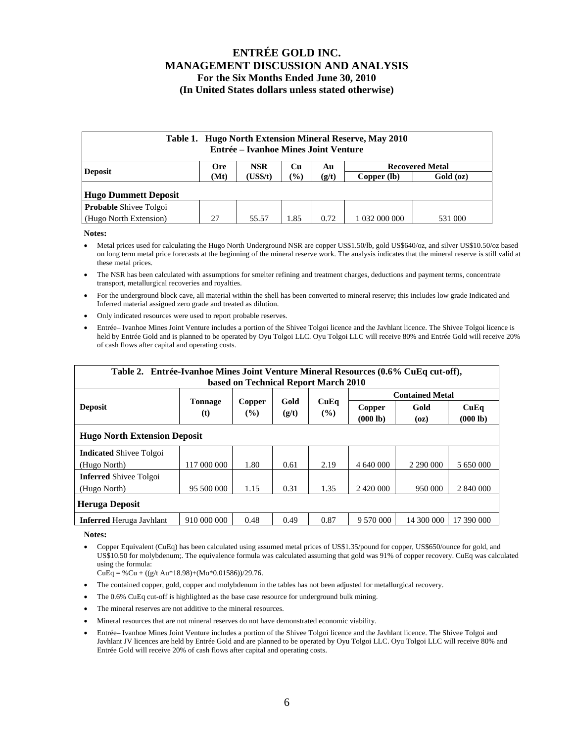| Table 1. Hugo North Extension Mineral Reserve, May 2010<br>Entrée – Ivanhoe Mines Joint Venture |                  |            |       |       |               |                        |  |  |  |  |  |
|-------------------------------------------------------------------------------------------------|------------------|------------|-------|-------|---------------|------------------------|--|--|--|--|--|
| <b>Deposit</b>                                                                                  | <b>Ore</b>       | <b>NSR</b> | Cu    | Au    |               | <b>Recovered Metal</b> |  |  |  |  |  |
|                                                                                                 | (US\$/t)<br>(Mt) |            | (9/0) | (g/t) | Copper (lb)   | Gold (oz)              |  |  |  |  |  |
| <b>Hugo Dummett Deposit</b>                                                                     |                  |            |       |       |               |                        |  |  |  |  |  |
| <b>Probable Shivee Tolgoi</b>                                                                   |                  |            |       |       |               |                        |  |  |  |  |  |
| (Hugo North Extension)                                                                          | 27               | 55.57      | 1.85  | 0.72  | 1 032 000 000 | 531 000                |  |  |  |  |  |

**Notes:**

- Metal prices used for calculating the Hugo North Underground NSR are copper US\$1.50/lb, gold US\$640/oz, and silver US\$10.50/oz based on long term metal price forecasts at the beginning of the mineral reserve work. The analysis indicates that the mineral reserve is still valid at these metal prices.
- The NSR has been calculated with assumptions for smelter refining and treatment charges, deductions and payment terms, concentrate transport, metallurgical recoveries and royalties.
- For the underground block cave, all material within the shell has been converted to mineral reserve; this includes low grade Indicated and Inferred material assigned zero grade and treated as dilution.
- Only indicated resources were used to report probable reserves.
- Entrée– Ivanhoe Mines Joint Venture includes a portion of the Shivee Tolgoi licence and the Javhlant licence. The Shivee Tolgoi licence is held by Entrée Gold and is planned to be operated by Oyu Tolgoi LLC. Oyu Tolgoi LLC will receive 80% and Entrée Gold will receive 20% of cash flows after capital and operating costs.

| Table 2. Entrée-Ivanhoe Mines Joint Venture Mineral Resources (0.6% CuEq cut-off), |                       |                         |       |                                              |                        |              |                  |  |  |  |  |  |
|------------------------------------------------------------------------------------|-----------------------|-------------------------|-------|----------------------------------------------|------------------------|--------------|------------------|--|--|--|--|--|
| based on Technical Report March 2010                                               |                       |                         |       |                                              |                        |              |                  |  |  |  |  |  |
|                                                                                    |                       |                         |       |                                              | <b>Contained Metal</b> |              |                  |  |  |  |  |  |
| <b>Deposit</b>                                                                     | <b>Tonnage</b><br>(t) | Copper<br>$\frac{9}{6}$ | (g/t) | Gold<br>CuEq<br>Copper<br>$($ %)<br>(000 lb) |                        | Gold<br>(oz) | CuEq<br>(000 lb) |  |  |  |  |  |
| <b>Hugo North Extension Deposit</b>                                                |                       |                         |       |                                              |                        |              |                  |  |  |  |  |  |
| <b>Indicated Shivee Tolgoi</b>                                                     |                       |                         |       |                                              |                        |              |                  |  |  |  |  |  |
| (Hugo North)                                                                       | 117 000 000           | 1.80                    | 0.61  | 2.19                                         | 4 640 000              | 2 290 000    | 5 650 000        |  |  |  |  |  |
| <b>Inferred</b> Shivee Tolgoi                                                      |                       |                         |       |                                              |                        |              |                  |  |  |  |  |  |
| (Hugo North)                                                                       | 95 500 000            | 1.15                    | 0.31  | 1.35                                         |                        | 950 000      | 2 840 000        |  |  |  |  |  |
| <b>Heruga Deposit</b>                                                              |                       |                         |       |                                              |                        |              |                  |  |  |  |  |  |
| <b>Inferred</b> Heruga Javhlant                                                    | 910 000 000           | 0.48                    | 0.49  | 0.87                                         | 9 570 000              | 14 300 000   | 17 390 000       |  |  |  |  |  |

**Notes:** 

• Copper Equivalent (CuEq) has been calculated using assumed metal prices of US\$1.35/pound for copper, US\$650/ounce for gold, and US\$10.50 for molybdenum;. The equivalence formula was calculated assuming that gold was 91% of copper recovery. CuEq was calculated using the formula:

 $CuEq = % Cu + ((g/t Au*18.98)+(Mo*0.01586))/29.76.$ 

- The contained copper, gold, copper and molybdenum in the tables has not been adjusted for metallurgical recovery.
- The 0.6% CuEq cut-off is highlighted as the base case resource for underground bulk mining.
- The mineral reserves are not additive to the mineral resources.
- Mineral resources that are not mineral reserves do not have demonstrated economic viability.
- Entrée– Ivanhoe Mines Joint Venture includes a portion of the Shivee Tolgoi licence and the Javhlant licence. The Shivee Tolgoi and Javhlant JV licences are held by Entrée Gold and are planned to be operated by Oyu Tolgoi LLC. Oyu Tolgoi LLC will receive 80% and Entrée Gold will receive 20% of cash flows after capital and operating costs.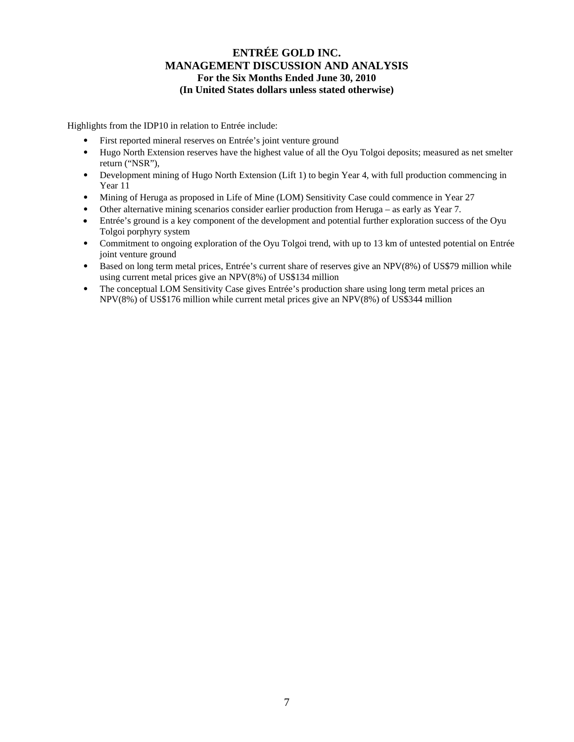Highlights from the IDP10 in relation to Entrée include:

- First reported mineral reserves on Entrée's joint venture ground
- Hugo North Extension reserves have the highest value of all the Oyu Tolgoi deposits; measured as net smelter return ("NSR"),
- Development mining of Hugo North Extension (Lift 1) to begin Year 4, with full production commencing in Year 11
- Mining of Heruga as proposed in Life of Mine (LOM) Sensitivity Case could commence in Year 27
- Other alternative mining scenarios consider earlier production from Heruga as early as Year 7.
- Entrée's ground is a key component of the development and potential further exploration success of the Oyu Tolgoi porphyry system
- Commitment to ongoing exploration of the Oyu Tolgoi trend, with up to 13 km of untested potential on Entrée joint venture ground
- Based on long term metal prices, Entrée's current share of reserves give an NPV(8%) of US\$79 million while using current metal prices give an NPV(8%) of US\$134 million
- The conceptual LOM Sensitivity Case gives Entrée's production share using long term metal prices an NPV(8%) of US\$176 million while current metal prices give an NPV(8%) of US\$344 million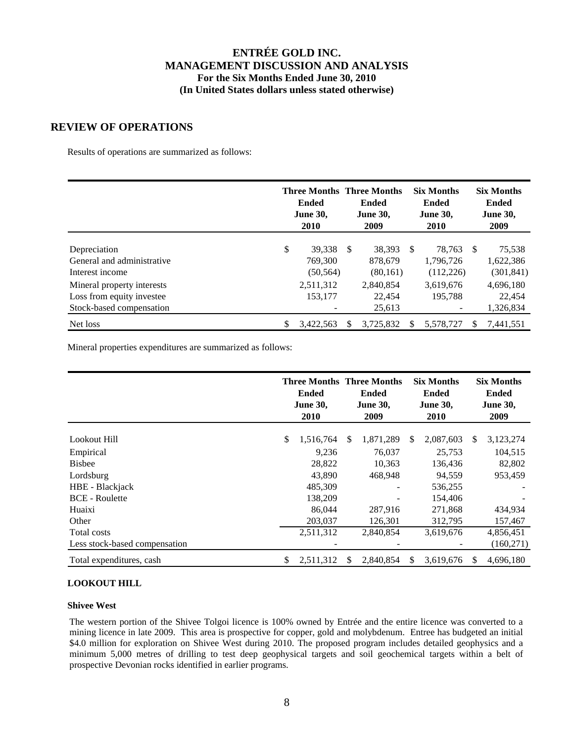## **REVIEW OF OPERATIONS**

Results of operations are summarized as follows:

|                            | <b>Ended</b><br><b>June 30,</b><br>2010 | <b>Three Months Three Months</b><br><b>Ended</b><br><b>June 30,</b><br>2009 |           |    | <b>Six Months</b><br>Ended<br><b>June 30,</b><br>2010 | <b>Six Months</b><br><b>Ended</b><br><b>June 30,</b><br>2009 |            |
|----------------------------|-----------------------------------------|-----------------------------------------------------------------------------|-----------|----|-------------------------------------------------------|--------------------------------------------------------------|------------|
|                            |                                         |                                                                             |           |    |                                                       |                                                              |            |
| Depreciation               | \$<br>39.338                            | <sup>\$</sup>                                                               | 38.393    | -S | 78.763                                                | -S                                                           | 75,538     |
| General and administrative | 769,300                                 |                                                                             | 878.679   |    | 1,796,726                                             |                                                              | 1,622,386  |
| Interest income            | (50, 564)                               |                                                                             | (80, 161) |    | (112, 226)                                            |                                                              | (301, 841) |
| Mineral property interests | 2,511,312                               |                                                                             | 2,840,854 |    | 3,619,676                                             |                                                              | 4,696,180  |
| Loss from equity investee  | 153,177                                 |                                                                             | 22,454    |    | 195.788                                               |                                                              | 22,454     |
| Stock-based compensation   |                                         |                                                                             | 25,613    |    |                                                       |                                                              | 1,326,834  |
| Net loss                   | \$<br>3,422,563                         |                                                                             | 3.725.832 |    | 5,578,727                                             |                                                              | 7,441,551  |

Mineral properties expenditures are summarized as follows:

|                               |    | <b>Ended</b><br><b>June 30,</b><br>2010 | <b>Three Months Three Months</b><br><b>Ended</b><br><b>June 30,</b><br>2009 |           |     | <b>Six Months</b><br><b>Ended</b><br><b>June 30,</b><br>2010 | <b>Six Months</b><br><b>Ended</b><br><b>June 30,</b><br>2009 |           |  |
|-------------------------------|----|-----------------------------------------|-----------------------------------------------------------------------------|-----------|-----|--------------------------------------------------------------|--------------------------------------------------------------|-----------|--|
| Lookout Hill                  | \$ | 1,516,764                               | \$.                                                                         | 1,871,289 | S   | 2,087,603                                                    | S                                                            | 3,123,274 |  |
| Empirical                     |    | 9.236                                   |                                                                             | 76,037    |     | 25.753                                                       |                                                              | 104,515   |  |
| <b>Bisbee</b>                 |    | 28,822                                  |                                                                             | 10,363    |     | 136,436                                                      |                                                              | 82,802    |  |
| Lordsburg                     |    | 43,890                                  |                                                                             | 468,948   |     | 94,559                                                       |                                                              | 953,459   |  |
| HBE - Blackjack               |    | 485,309                                 |                                                                             |           |     | 536,255                                                      |                                                              |           |  |
| <b>BCE</b> - Roulette         |    | 138,209                                 |                                                                             |           |     | 154,406                                                      |                                                              |           |  |
| Huaixi                        |    | 86,044                                  |                                                                             | 287,916   |     | 271,868                                                      |                                                              | 434,934   |  |
| Other                         |    | 203,037                                 |                                                                             | 126,301   |     | 312,795                                                      |                                                              | 157,467   |  |
| Total costs                   |    | 2,511,312                               |                                                                             | 2,840,854 |     | 3,619,676                                                    |                                                              | 4,856,451 |  |
| Less stock-based compensation |    |                                         |                                                                             |           |     |                                                              |                                                              | (160,271) |  |
| Total expenditures, cash      | S  | 2,511,312                               | S                                                                           | 2.840.854 | \$. | 3,619,676                                                    |                                                              | 4,696,180 |  |

### **LOOKOUT HILL**

### **Shivee West**

The western portion of the Shivee Tolgoi licence is 100% owned by Entrée and the entire licence was converted to a mining licence in late 2009. This area is prospective for copper, gold and molybdenum. Entree has budgeted an initial \$4.0 million for exploration on Shivee West during 2010. The proposed program includes detailed geophysics and a minimum 5,000 metres of drilling to test deep geophysical targets and soil geochemical targets within a belt of prospective Devonian rocks identified in earlier programs.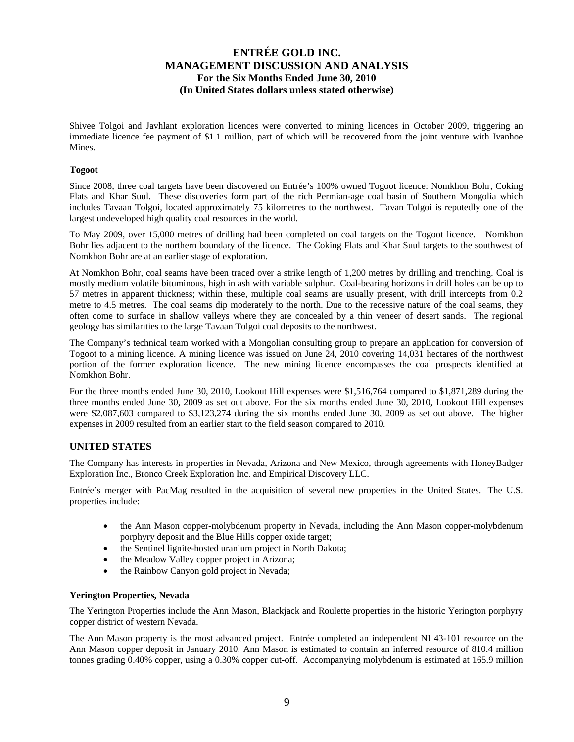Shivee Tolgoi and Javhlant exploration licences were converted to mining licences in October 2009, triggering an immediate licence fee payment of \$1.1 million, part of which will be recovered from the joint venture with Ivanhoe Mines.

### **Togoot**

Since 2008, three coal targets have been discovered on Entrée's 100% owned Togoot licence: Nomkhon Bohr, Coking Flats and Khar Suul. These discoveries form part of the rich Permian-age coal basin of Southern Mongolia which includes Tavaan Tolgoi, located approximately 75 kilometres to the northwest. Tavan Tolgoi is reputedly one of the largest undeveloped high quality coal resources in the world.

To May 2009, over 15,000 metres of drilling had been completed on coal targets on the Togoot licence. Nomkhon Bohr lies adjacent to the northern boundary of the licence. The Coking Flats and Khar Suul targets to the southwest of Nomkhon Bohr are at an earlier stage of exploration.

At Nomkhon Bohr, coal seams have been traced over a strike length of 1,200 metres by drilling and trenching. Coal is mostly medium volatile bituminous, high in ash with variable sulphur. Coal-bearing horizons in drill holes can be up to 57 metres in apparent thickness; within these, multiple coal seams are usually present, with drill intercepts from 0.2 metre to 4.5 metres. The coal seams dip moderately to the north. Due to the recessive nature of the coal seams, they often come to surface in shallow valleys where they are concealed by a thin veneer of desert sands. The regional geology has similarities to the large Tavaan Tolgoi coal deposits to the northwest.

The Company's technical team worked with a Mongolian consulting group to prepare an application for conversion of Togoot to a mining licence. A mining licence was issued on June 24, 2010 covering 14,031 hectares of the northwest portion of the former exploration licence. The new mining licence encompasses the coal prospects identified at Nomkhon Bohr.

For the three months ended June 30, 2010, Lookout Hill expenses were \$1,516,764 compared to \$1,871,289 during the three months ended June 30, 2009 as set out above. For the six months ended June 30, 2010, Lookout Hill expenses were \$2,087,603 compared to \$3,123,274 during the six months ended June 30, 2009 as set out above. The higher expenses in 2009 resulted from an earlier start to the field season compared to 2010.

## **UNITED STATES**

The Company has interests in properties in Nevada, Arizona and New Mexico, through agreements with HoneyBadger Exploration Inc., Bronco Creek Exploration Inc. and Empirical Discovery LLC.

Entrée's merger with PacMag resulted in the acquisition of several new properties in the United States. The U.S. properties include:

- the Ann Mason copper-molybdenum property in Nevada, including the Ann Mason copper-molybdenum porphyry deposit and the Blue Hills copper oxide target;
- the Sentinel lignite-hosted uranium project in North Dakota;
- the Meadow Valley copper project in Arizona;
- the Rainbow Canyon gold project in Nevada;

### **Yerington Properties, Nevada**

The Yerington Properties include the Ann Mason, Blackjack and Roulette properties in the historic Yerington porphyry copper district of western Nevada.

The Ann Mason property is the most advanced project. Entrée completed an independent NI 43-101 resource on the Ann Mason copper deposit in January 2010. Ann Mason is estimated to contain an inferred resource of 810.4 million tonnes grading 0.40% copper, using a 0.30% copper cut-off. Accompanying molybdenum is estimated at 165.9 million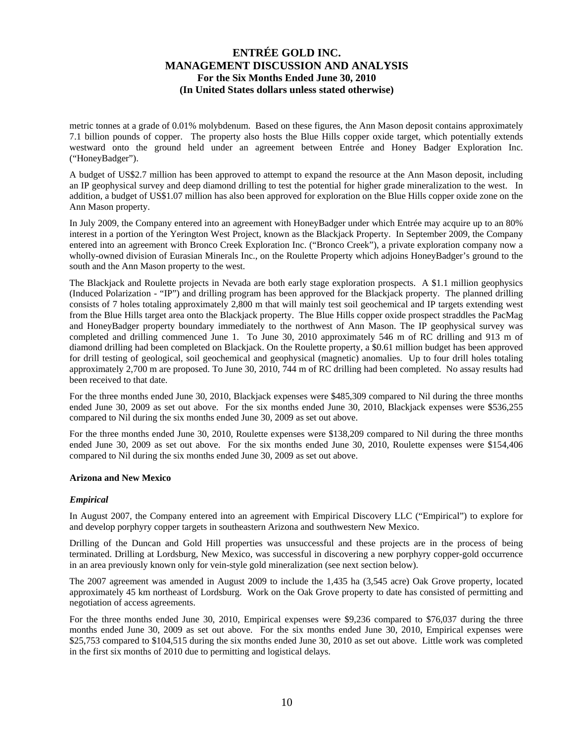metric tonnes at a grade of 0.01% molybdenum. Based on these figures, the Ann Mason deposit contains approximately 7.1 billion pounds of copper. The property also hosts the Blue Hills copper oxide target, which potentially extends westward onto the ground held under an agreement between Entrée and Honey Badger Exploration Inc. ("HoneyBadger").

A budget of US\$2.7 million has been approved to attempt to expand the resource at the Ann Mason deposit, including an IP geophysical survey and deep diamond drilling to test the potential for higher grade mineralization to the west. In addition, a budget of US\$1.07 million has also been approved for exploration on the Blue Hills copper oxide zone on the Ann Mason property.

In July 2009, the Company entered into an agreement with HoneyBadger under which Entrée may acquire up to an 80% interest in a portion of the Yerington West Project, known as the Blackjack Property. In September 2009, the Company entered into an agreement with Bronco Creek Exploration Inc. ("Bronco Creek"), a private exploration company now a wholly-owned division of Eurasian Minerals Inc., on the Roulette Property which adjoins HoneyBadger's ground to the south and the Ann Mason property to the west.

The Blackjack and Roulette projects in Nevada are both early stage exploration prospects. A \$1.1 million geophysics (Induced Polarization - "IP") and drilling program has been approved for the Blackjack property. The planned drilling consists of 7 holes totaling approximately 2,800 m that will mainly test soil geochemical and IP targets extending west from the Blue Hills target area onto the Blackjack property. The Blue Hills copper oxide prospect straddles the PacMag and HoneyBadger property boundary immediately to the northwest of Ann Mason. The IP geophysical survey was completed and drilling commenced June 1. To June 30, 2010 approximately 546 m of RC drilling and 913 m of diamond drilling had been completed on Blackjack. On the Roulette property, a \$0.61 million budget has been approved for drill testing of geological, soil geochemical and geophysical (magnetic) anomalies. Up to four drill holes totaling approximately 2,700 m are proposed. To June 30, 2010, 744 m of RC drilling had been completed. No assay results had been received to that date.

For the three months ended June 30, 2010, Blackjack expenses were \$485,309 compared to Nil during the three months ended June 30, 2009 as set out above. For the six months ended June 30, 2010, Blackjack expenses were \$536,255 compared to Nil during the six months ended June 30, 2009 as set out above.

For the three months ended June 30, 2010, Roulette expenses were \$138,209 compared to Nil during the three months ended June 30, 2009 as set out above. For the six months ended June 30, 2010, Roulette expenses were \$154,406 compared to Nil during the six months ended June 30, 2009 as set out above.

#### **Arizona and New Mexico**

### *Empirical*

In August 2007, the Company entered into an agreement with Empirical Discovery LLC ("Empirical") to explore for and develop porphyry copper targets in southeastern Arizona and southwestern New Mexico.

Drilling of the Duncan and Gold Hill properties was unsuccessful and these projects are in the process of being terminated. Drilling at Lordsburg, New Mexico, was successful in discovering a new porphyry copper-gold occurrence in an area previously known only for vein-style gold mineralization (see next section below).

The 2007 agreement was amended in August 2009 to include the 1,435 ha (3,545 acre) Oak Grove property, located approximately 45 km northeast of Lordsburg. Work on the Oak Grove property to date has consisted of permitting and negotiation of access agreements.

For the three months ended June 30, 2010, Empirical expenses were \$9,236 compared to \$76,037 during the three months ended June 30, 2009 as set out above. For the six months ended June 30, 2010, Empirical expenses were \$25,753 compared to \$104,515 during the six months ended June 30, 2010 as set out above. Little work was completed in the first six months of 2010 due to permitting and logistical delays.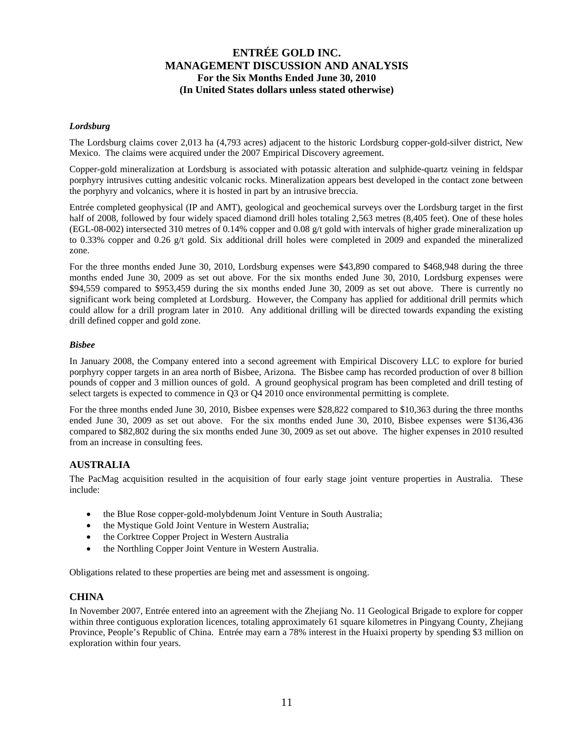### *Lordsburg*

The Lordsburg claims cover 2,013 ha (4,793 acres) adjacent to the historic Lordsburg copper-gold-silver district, New Mexico. The claims were acquired under the 2007 Empirical Discovery agreement.

Copper-gold mineralization at Lordsburg is associated with potassic alteration and sulphide-quartz veining in feldspar porphyry intrusives cutting andesitic volcanic rocks. Mineralization appears best developed in the contact zone between the porphyry and volcanics, where it is hosted in part by an intrusive breccia.

Entrée completed geophysical (IP and AMT), geological and geochemical surveys over the Lordsburg target in the first half of 2008, followed by four widely spaced diamond drill holes totaling 2,563 metres (8,405 feet). One of these holes (EGL-08-002) intersected 310 metres of 0.14% copper and 0.08 g/t gold with intervals of higher grade mineralization up to 0.33% copper and 0.26 g/t gold. Six additional drill holes were completed in 2009 and expanded the mineralized zone.

For the three months ended June 30, 2010, Lordsburg expenses were \$43,890 compared to \$468,948 during the three months ended June 30, 2009 as set out above. For the six months ended June 30, 2010, Lordsburg expenses were \$94,559 compared to \$953,459 during the six months ended June 30, 2009 as set out above. There is currently no significant work being completed at Lordsburg. However, the Company has applied for additional drill permits which could allow for a drill program later in 2010. Any additional drilling will be directed towards expanding the existing drill defined copper and gold zone.

### *Bisbee*

In January 2008, the Company entered into a second agreement with Empirical Discovery LLC to explore for buried porphyry copper targets in an area north of Bisbee, Arizona. The Bisbee camp has recorded production of over 8 billion pounds of copper and 3 million ounces of gold. A ground geophysical program has been completed and drill testing of select targets is expected to commence in Q3 or Q4 2010 once environmental permitting is complete.

For the three months ended June 30, 2010, Bisbee expenses were \$28,822 compared to \$10,363 during the three months ended June 30, 2009 as set out above. For the six months ended June 30, 2010, Bisbee expenses were \$136,436 compared to \$82,802 during the six months ended June 30, 2009 as set out above. The higher expenses in 2010 resulted from an increase in consulting fees.

### **AUSTRALIA**

The PacMag acquisition resulted in the acquisition of four early stage joint venture properties in Australia. These include:

- the Blue Rose copper-gold-molybdenum Joint Venture in South Australia;
- the Mystique Gold Joint Venture in Western Australia;
- the Corktree Copper Project in Western Australia
- the Northling Copper Joint Venture in Western Australia.

Obligations related to these properties are being met and assessment is ongoing.

### **CHINA**

In November 2007, Entrée entered into an agreement with the Zhejiang No. 11 Geological Brigade to explore for copper within three contiguous exploration licences, totaling approximately 61 square kilometres in Pingyang County, Zhejiang Province, People's Republic of China. Entrée may earn a 78% interest in the Huaixi property by spending \$3 million on exploration within four years.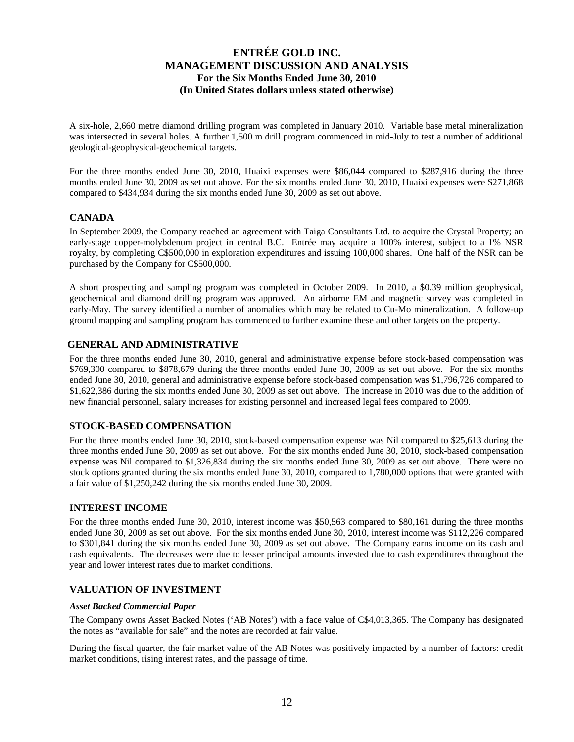A six-hole, 2,660 metre diamond drilling program was completed in January 2010. Variable base metal mineralization was intersected in several holes. A further 1,500 m drill program commenced in mid-July to test a number of additional geological-geophysical-geochemical targets.

For the three months ended June 30, 2010, Huaixi expenses were \$86,044 compared to \$287,916 during the three months ended June 30, 2009 as set out above. For the six months ended June 30, 2010, Huaixi expenses were \$271,868 compared to \$434,934 during the six months ended June 30, 2009 as set out above.

## **CANADA**

In September 2009, the Company reached an agreement with Taiga Consultants Ltd. to acquire the Crystal Property; an early-stage copper-molybdenum project in central B.C. Entrée may acquire a 100% interest, subject to a 1% NSR royalty, by completing C\$500,000 in exploration expenditures and issuing 100,000 shares. One half of the NSR can be purchased by the Company for C\$500,000.

A short prospecting and sampling program was completed in October 2009. In 2010, a \$0.39 million geophysical, geochemical and diamond drilling program was approved. An airborne EM and magnetic survey was completed in early-May. The survey identified a number of anomalies which may be related to Cu-Mo mineralization. A follow-up ground mapping and sampling program has commenced to further examine these and other targets on the property.

## **GENERAL AND ADMINISTRATIVE**

For the three months ended June 30, 2010, general and administrative expense before stock-based compensation was \$769,300 compared to \$878,679 during the three months ended June 30, 2009 as set out above. For the six months ended June 30, 2010, general and administrative expense before stock-based compensation was \$1,796,726 compared to \$1,622,386 during the six months ended June 30, 2009 as set out above. The increase in 2010 was due to the addition of new financial personnel, salary increases for existing personnel and increased legal fees compared to 2009.

## **STOCK-BASED COMPENSATION**

For the three months ended June 30, 2010, stock-based compensation expense was Nil compared to \$25,613 during the three months ended June 30, 2009 as set out above. For the six months ended June 30, 2010, stock-based compensation expense was Nil compared to \$1,326,834 during the six months ended June 30, 2009 as set out above. There were no stock options granted during the six months ended June 30, 2010, compared to 1,780,000 options that were granted with a fair value of \$1,250,242 during the six months ended June 30, 2009.

## **INTEREST INCOME**

For the three months ended June 30, 2010, interest income was \$50,563 compared to \$80,161 during the three months ended June 30, 2009 as set out above. For the six months ended June 30, 2010, interest income was \$112,226 compared to \$301,841 during the six months ended June 30, 2009 as set out above. The Company earns income on its cash and cash equivalents. The decreases were due to lesser principal amounts invested due to cash expenditures throughout the year and lower interest rates due to market conditions.

## **VALUATION OF INVESTMENT**

### *Asset Backed Commercial Paper*

The Company owns Asset Backed Notes ('AB Notes') with a face value of C\$4,013,365. The Company has designated the notes as "available for sale" and the notes are recorded at fair value.

During the fiscal quarter, the fair market value of the AB Notes was positively impacted by a number of factors: credit market conditions, rising interest rates, and the passage of time.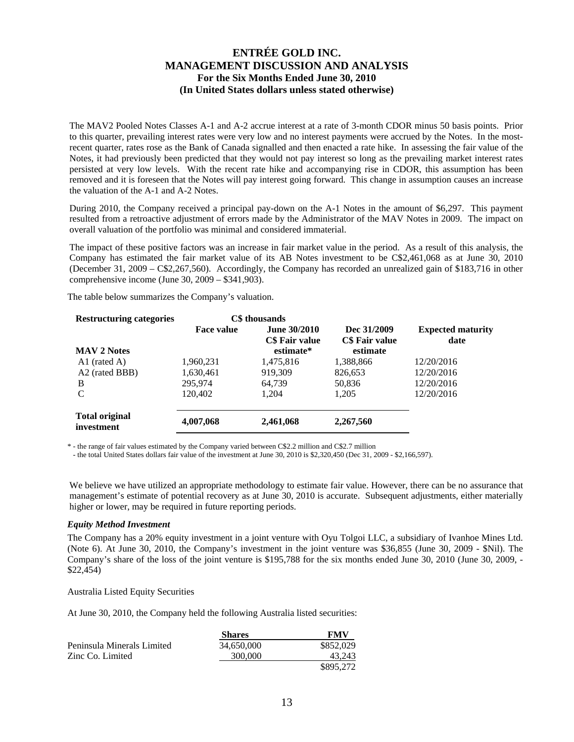The MAV2 Pooled Notes Classes A-1 and A-2 accrue interest at a rate of 3-month CDOR minus 50 basis points. Prior to this quarter, prevailing interest rates were very low and no interest payments were accrued by the Notes. In the mostrecent quarter, rates rose as the Bank of Canada signalled and then enacted a rate hike. In assessing the fair value of the Notes, it had previously been predicted that they would not pay interest so long as the prevailing market interest rates persisted at very low levels. With the recent rate hike and accompanying rise in CDOR, this assumption has been removed and it is foreseen that the Notes will pay interest going forward. This change in assumption causes an increase the valuation of the A-1 and A-2 Notes.

During 2010, the Company received a principal pay-down on the A-1 Notes in the amount of \$6,297. This payment resulted from a retroactive adjustment of errors made by the Administrator of the MAV Notes in 2009. The impact on overall valuation of the portfolio was minimal and considered immaterial.

The impact of these positive factors was an increase in fair market value in the period. As a result of this analysis, the Company has estimated the fair market value of its AB Notes investment to be C\$2,461,068 as at June 30, 2010 (December 31, 2009 – C\$2,267,560). Accordingly, the Company has recorded an unrealized gain of \$183,716 in other comprehensive income (June 30, 2009 – \$341,903).

The table below summarizes the Company's valuation.

| <b>Restructuring categories</b>     |                   | C\$ thousands                                      |                                           |                                  |
|-------------------------------------|-------------------|----------------------------------------------------|-------------------------------------------|----------------------------------|
| <b>MAV 2 Notes</b>                  | <b>Face value</b> | <b>June 30/2010</b><br>C\$ Fair value<br>estimate* | Dec 31/2009<br>C\$ Fair value<br>estimate | <b>Expected maturity</b><br>date |
| $A1$ (rated A)                      | 1,960,231         | 1,475,816                                          | 1,388,866                                 | 12/20/2016                       |
| A2 (rated BBB)                      | 1,630,461         | 919,309                                            | 826,653                                   | 12/20/2016                       |
| B                                   | 295,974           | 64.739                                             | 50,836                                    | 12/20/2016                       |
| C                                   | 120,402           | 1.204                                              | 1,205                                     | 12/20/2016                       |
| <b>Total original</b><br>investment | 4,007,068         | 2,461,068                                          | 2,267,560                                 |                                  |

\* - the range of fair values estimated by the Company varied between C\$2.2 million and C\$2.7 million

- the total United States dollars fair value of the investment at June 30, 2010 is \$2,320,450 (Dec 31, 2009 - \$2,166,597).

We believe we have utilized an appropriate methodology to estimate fair value. However, there can be no assurance that management's estimate of potential recovery as at June 30, 2010 is accurate. Subsequent adjustments, either materially higher or lower, may be required in future reporting periods.

### *Equity Method Investment*

The Company has a 20% equity investment in a joint venture with Oyu Tolgoi LLC, a subsidiary of Ivanhoe Mines Ltd. (Note 6). At June 30, 2010, the Company's investment in the joint venture was \$36,855 (June 30, 2009 - \$Nil). The Company's share of the loss of the joint venture is \$195,788 for the six months ended June 30, 2010 (June 30, 2009, -\$22,454)

#### Australia Listed Equity Securities

At June 30, 2010, the Company held the following Australia listed securities:

|                            | <b>Shares</b> | FMV       |
|----------------------------|---------------|-----------|
| Peninsula Minerals Limited | 34,650,000    | \$852,029 |
| Zinc Co. Limited           | 300,000       | 43.243    |
|                            |               | \$895,272 |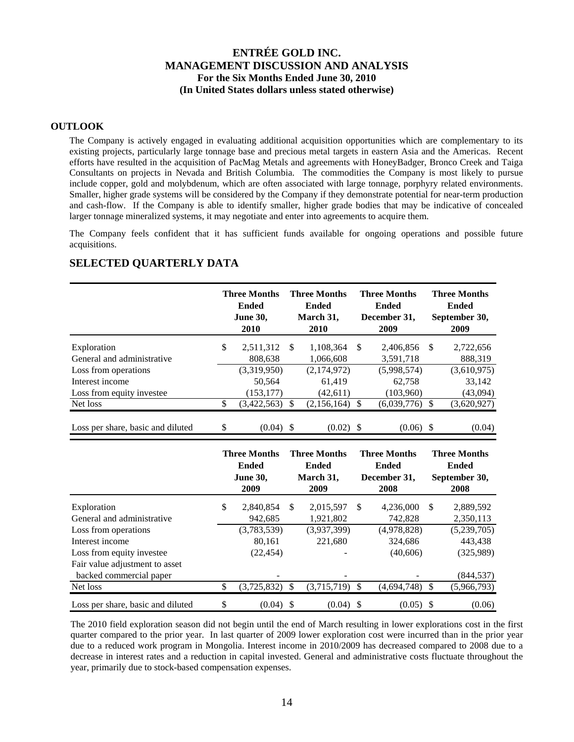## **OUTLOOK**

The Company is actively engaged in evaluating additional acquisition opportunities which are complementary to its existing projects, particularly large tonnage base and precious metal targets in eastern Asia and the Americas. Recent efforts have resulted in the acquisition of PacMag Metals and agreements with HoneyBadger, Bronco Creek and Taiga Consultants on projects in Nevada and British Columbia. The commodities the Company is most likely to pursue include copper, gold and molybdenum, which are often associated with large tonnage, porphyry related environments. Smaller, higher grade systems will be considered by the Company if they demonstrate potential for near-term production and cash-flow. If the Company is able to identify smaller, higher grade bodies that may be indicative of concealed larger tonnage mineralized systems, it may negotiate and enter into agreements to acquire them.

The Company feels confident that it has sufficient funds available for ongoing operations and possible future acquisitions.

|                                   | <b>Three Months</b><br><b>Ended</b><br><b>June 30,</b><br>2010 |      | <b>Three Months</b><br><b>Ended</b><br>March 31,<br>2010 |               | <b>Three Months</b><br><b>Ended</b><br>December 31,<br>2009 |          | <b>Three Months</b><br><b>Ended</b><br>September 30,<br>2009 |
|-----------------------------------|----------------------------------------------------------------|------|----------------------------------------------------------|---------------|-------------------------------------------------------------|----------|--------------------------------------------------------------|
| Exploration                       | \$<br>2,511,312                                                | - \$ | 1.108.364                                                | <sup>\$</sup> | 2,406,856                                                   | <b>S</b> | 2,722,656                                                    |
| General and administrative        | 808,638                                                        |      | 1,066,608                                                |               | 3,591,718                                                   |          | 888,319                                                      |
| Loss from operations              | (3,319,950)                                                    |      | (2,174,972)                                              |               | (5,998,574)                                                 |          | (3,610,975)                                                  |
| Interest income                   | 50.564                                                         |      | 61,419                                                   |               | 62.758                                                      |          | 33.142                                                       |
| Loss from equity investee         | (153, 177)                                                     |      | (42,611)                                                 |               | (103,960)                                                   |          | (43,094)                                                     |
| Net loss                          | \$<br>(3,422,563)                                              |      | (2,156,164)                                              |               | (6,039,776)                                                 | £.       | (3,620,927)                                                  |
| Loss per share, basic and diluted | \$<br>$(0.04)$ \$                                              |      | $(0.02)$ \$                                              |               | (0.06)                                                      | -S       | (0.04)                                                       |

## **SELECTED QUARTERLY DATA**

|                                   |     | <b>Three Months</b><br><b>Ended</b><br><b>June 30,</b><br>2009 |               | <b>Three Months</b><br><b>Ended</b><br>March 31,<br>2009 |    | <b>Three Months</b><br><b>Ended</b><br>December 31,<br>2008 |    | <b>Three Months</b><br><b>Ended</b><br>September 30,<br>2008 |
|-----------------------------------|-----|----------------------------------------------------------------|---------------|----------------------------------------------------------|----|-------------------------------------------------------------|----|--------------------------------------------------------------|
| Exploration                       | \$. | 2,840,854                                                      | S             | 2,015,597                                                | -S | 4,236,000                                                   | S  | 2,889,592                                                    |
| General and administrative        |     | 942,685                                                        |               | 1,921,802                                                |    | 742,828                                                     |    | 2,350,113                                                    |
| Loss from operations              |     | (3,783,539)                                                    |               | (3,937,399)                                              |    | (4,978,828)                                                 |    | (5,239,705)                                                  |
| Interest income                   |     | 80,161                                                         |               | 221,680                                                  |    | 324,686                                                     |    | 443,438                                                      |
| Loss from equity investee         |     | (22, 454)                                                      |               |                                                          |    | (40,606)                                                    |    | (325,989)                                                    |
| Fair value adjustment to asset    |     |                                                                |               |                                                          |    |                                                             |    |                                                              |
| backed commercial paper           |     | -                                                              |               |                                                          |    |                                                             |    | (844, 537)                                                   |
| Net loss                          | \$  | (3,725,832)                                                    | <sup>\$</sup> | $(3,715,719)$ \$                                         |    | (4,694,748)                                                 | \$ | (5,966,793)                                                  |
| Loss per share, basic and diluted | \$  | $(0.04)$ \$                                                    |               | $(0.04)$ \$                                              |    | $(0.05)$ \$                                                 |    | (0.06)                                                       |

The 2010 field exploration season did not begin until the end of March resulting in lower explorations cost in the first quarter compared to the prior year. In last quarter of 2009 lower exploration cost were incurred than in the prior year due to a reduced work program in Mongolia. Interest income in 2010/2009 has decreased compared to 2008 due to a decrease in interest rates and a reduction in capital invested. General and administrative costs fluctuate throughout the year, primarily due to stock-based compensation expenses.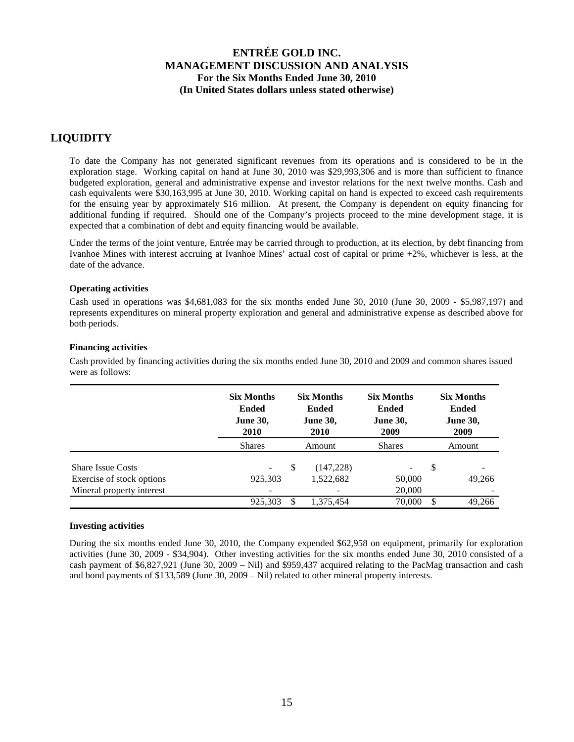# **LIQUIDITY**

To date the Company has not generated significant revenues from its operations and is considered to be in the exploration stage. Working capital on hand at June 30, 2010 was \$29,993,306 and is more than sufficient to finance budgeted exploration, general and administrative expense and investor relations for the next twelve months. Cash and cash equivalents were \$30,163,995 at June 30, 2010. Working capital on hand is expected to exceed cash requirements for the ensuing year by approximately \$16 million. At present, the Company is dependent on equity financing for additional funding if required. Should one of the Company's projects proceed to the mine development stage, it is expected that a combination of debt and equity financing would be available.

Under the terms of the joint venture, Entrée may be carried through to production, at its election, by debt financing from Ivanhoe Mines with interest accruing at Ivanhoe Mines' actual cost of capital or prime +2%, whichever is less, at the date of the advance.

### **Operating activities**

Cash used in operations was \$4,681,083 for the six months ended June 30, 2010 (June 30, 2009 - \$5,987,197) and represents expenditures on mineral property exploration and general and administrative expense as described above for both periods.

## **Financing activities**

Cash provided by financing activities during the six months ended June 30, 2010 and 2009 and common shares issued were as follows:

|                                                       | <b>Six Months</b><br><b>Ended</b><br><b>June 30,</b><br><b>2010</b> | <b>Six Months</b><br><b>Ended</b><br><b>June 30,</b><br><b>2010</b> |                        | <b>Six Months</b><br><b>Ended</b><br><b>June 30,</b><br>2009 |    | <b>Six Months</b><br><b>Ended</b><br><b>June 30,</b><br>2009 |
|-------------------------------------------------------|---------------------------------------------------------------------|---------------------------------------------------------------------|------------------------|--------------------------------------------------------------|----|--------------------------------------------------------------|
|                                                       | <b>Shares</b>                                                       |                                                                     | Amount                 | <b>Shares</b>                                                |    | Amount                                                       |
| <b>Share Issue Costs</b><br>Exercise of stock options | 925,303                                                             | \$                                                                  | (147,228)<br>1,522,682 | 50,000                                                       | \$ | 49,266                                                       |
| Mineral property interest                             |                                                                     |                                                                     |                        | 20,000                                                       |    |                                                              |
|                                                       | 925,303                                                             | S.                                                                  | 1.375.454              | 70,000                                                       | S  | 49.266                                                       |

### **Investing activities**

During the six months ended June 30, 2010, the Company expended \$62,958 on equipment, primarily for exploration activities (June 30, 2009 - \$34,904). Other investing activities for the six months ended June 30, 2010 consisted of a cash payment of \$6,827,921 (June 30, 2009 – Nil) and \$959,437 acquired relating to the PacMag transaction and cash and bond payments of \$133,589 (June 30, 2009 – Nil) related to other mineral property interests.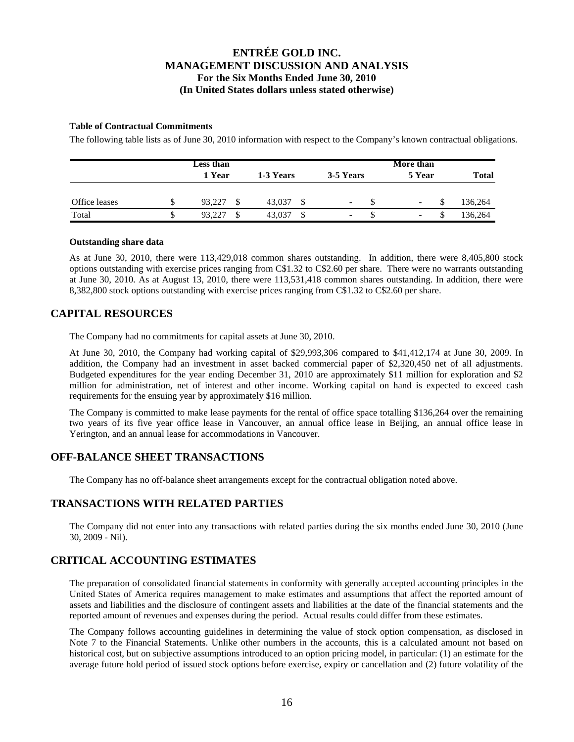## **Table of Contractual Commitments**

The following table lists as of June 30, 2010 information with respect to the Company's known contractual obligations.

|               |    | Less than     |           |                          | More than                |              |  |
|---------------|----|---------------|-----------|--------------------------|--------------------------|--------------|--|
|               |    | 1 Year        | 1-3 Years | 3-5 Years                | 5 Year                   | <b>Total</b> |  |
| Office leases | ۰D | 93.227<br>\$. | 43,037    | $\overline{\phantom{a}}$ | -                        | 136,264      |  |
| Total         |    | 93.227<br>S   | 43,037    | $\overline{\phantom{0}}$ | $\overline{\phantom{a}}$ | 136,264      |  |

### **Outstanding share data**

As at June 30, 2010, there were 113,429,018 common shares outstanding. In addition, there were 8,405,800 stock options outstanding with exercise prices ranging from C\$1.32 to C\$2.60 per share. There were no warrants outstanding at June 30, 2010. As at August 13, 2010, there were 113,531,418 common shares outstanding. In addition, there were 8,382,800 stock options outstanding with exercise prices ranging from C\$1.32 to C\$2.60 per share.

## **CAPITAL RESOURCES**

The Company had no commitments for capital assets at June 30, 2010.

At June 30, 2010, the Company had working capital of \$29,993,306 compared to \$41,412,174 at June 30, 2009. In addition, the Company had an investment in asset backed commercial paper of \$2,320,450 net of all adjustments. Budgeted expenditures for the year ending December 31, 2010 are approximately \$11 million for exploration and \$2 million for administration, net of interest and other income. Working capital on hand is expected to exceed cash requirements for the ensuing year by approximately \$16 million.

The Company is committed to make lease payments for the rental of office space totalling \$136,264 over the remaining two years of its five year office lease in Vancouver, an annual office lease in Beijing, an annual office lease in Yerington, and an annual lease for accommodations in Vancouver.

# **OFF-BALANCE SHEET TRANSACTIONS**

The Company has no off-balance sheet arrangements except for the contractual obligation noted above.

# **TRANSACTIONS WITH RELATED PARTIES**

The Company did not enter into any transactions with related parties during the six months ended June 30, 2010 (June 30, 2009 - Nil).

## **CRITICAL ACCOUNTING ESTIMATES**

The preparation of consolidated financial statements in conformity with generally accepted accounting principles in the United States of America requires management to make estimates and assumptions that affect the reported amount of assets and liabilities and the disclosure of contingent assets and liabilities at the date of the financial statements and the reported amount of revenues and expenses during the period. Actual results could differ from these estimates.

The Company follows accounting guidelines in determining the value of stock option compensation, as disclosed in Note 7 to the Financial Statements. Unlike other numbers in the accounts, this is a calculated amount not based on historical cost, but on subjective assumptions introduced to an option pricing model, in particular: (1) an estimate for the average future hold period of issued stock options before exercise, expiry or cancellation and (2) future volatility of the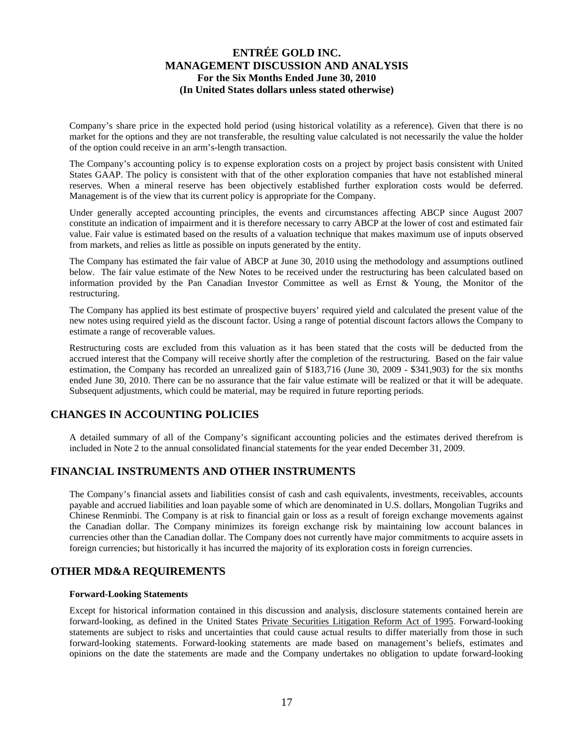Company's share price in the expected hold period (using historical volatility as a reference). Given that there is no market for the options and they are not transferable, the resulting value calculated is not necessarily the value the holder of the option could receive in an arm's-length transaction.

The Company's accounting policy is to expense exploration costs on a project by project basis consistent with United States GAAP. The policy is consistent with that of the other exploration companies that have not established mineral reserves. When a mineral reserve has been objectively established further exploration costs would be deferred. Management is of the view that its current policy is appropriate for the Company.

Under generally accepted accounting principles, the events and circumstances affecting ABCP since August 2007 constitute an indication of impairment and it is therefore necessary to carry ABCP at the lower of cost and estimated fair value. Fair value is estimated based on the results of a valuation technique that makes maximum use of inputs observed from markets, and relies as little as possible on inputs generated by the entity.

The Company has estimated the fair value of ABCP at June 30, 2010 using the methodology and assumptions outlined below. The fair value estimate of the New Notes to be received under the restructuring has been calculated based on information provided by the Pan Canadian Investor Committee as well as Ernst & Young, the Monitor of the restructuring.

The Company has applied its best estimate of prospective buyers' required yield and calculated the present value of the new notes using required yield as the discount factor. Using a range of potential discount factors allows the Company to estimate a range of recoverable values.

Restructuring costs are excluded from this valuation as it has been stated that the costs will be deducted from the accrued interest that the Company will receive shortly after the completion of the restructuring. Based on the fair value estimation, the Company has recorded an unrealized gain of \$183,716 (June 30, 2009 - \$341,903) for the six months ended June 30, 2010. There can be no assurance that the fair value estimate will be realized or that it will be adequate. Subsequent adjustments, which could be material, may be required in future reporting periods.

# **CHANGES IN ACCOUNTING POLICIES**

A detailed summary of all of the Company's significant accounting policies and the estimates derived therefrom is included in Note 2 to the annual consolidated financial statements for the year ended December 31, 2009.

# **FINANCIAL INSTRUMENTS AND OTHER INSTRUMENTS**

The Company's financial assets and liabilities consist of cash and cash equivalents, investments, receivables, accounts payable and accrued liabilities and loan payable some of which are denominated in U.S. dollars, Mongolian Tugriks and Chinese Renminbi. The Company is at risk to financial gain or loss as a result of foreign exchange movements against the Canadian dollar. The Company minimizes its foreign exchange risk by maintaining low account balances in currencies other than the Canadian dollar. The Company does not currently have major commitments to acquire assets in foreign currencies; but historically it has incurred the majority of its exploration costs in foreign currencies.

# **OTHER MD&A REQUIREMENTS**

### **Forward-Looking Statements**

Except for historical information contained in this discussion and analysis, disclosure statements contained herein are forward-looking, as defined in the United States Private Securities Litigation Reform Act of 1995. Forward-looking statements are subject to risks and uncertainties that could cause actual results to differ materially from those in such forward-looking statements. Forward-looking statements are made based on management's beliefs, estimates and opinions on the date the statements are made and the Company undertakes no obligation to update forward-looking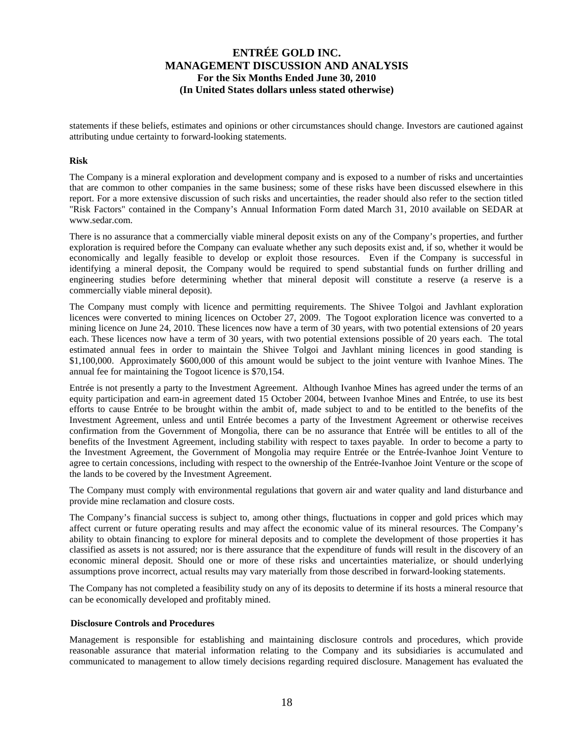statements if these beliefs, estimates and opinions or other circumstances should change. Investors are cautioned against attributing undue certainty to forward-looking statements.

#### **Risk**

The Company is a mineral exploration and development company and is exposed to a number of risks and uncertainties that are common to other companies in the same business; some of these risks have been discussed elsewhere in this report. For a more extensive discussion of such risks and uncertainties, the reader should also refer to the section titled "Risk Factors" contained in the Company's Annual Information Form dated March 31, 2010 available on SEDAR at www.sedar.com.

There is no assurance that a commercially viable mineral deposit exists on any of the Company's properties, and further exploration is required before the Company can evaluate whether any such deposits exist and, if so, whether it would be economically and legally feasible to develop or exploit those resources. Even if the Company is successful in identifying a mineral deposit, the Company would be required to spend substantial funds on further drilling and engineering studies before determining whether that mineral deposit will constitute a reserve (a reserve is a commercially viable mineral deposit).

The Company must comply with licence and permitting requirements. The Shivee Tolgoi and Javhlant exploration licences were converted to mining licences on October 27, 2009. The Togoot exploration licence was converted to a mining licence on June 24, 2010. These licences now have a term of 30 years, with two potential extensions of 20 years each. These licences now have a term of 30 years, with two potential extensions possible of 20 years each. The total estimated annual fees in order to maintain the Shivee Tolgoi and Javhlant mining licences in good standing is \$1,100,000. Approximately \$600,000 of this amount would be subject to the joint venture with Ivanhoe Mines. The annual fee for maintaining the Togoot licence is \$70,154.

Entrée is not presently a party to the Investment Agreement. Although Ivanhoe Mines has agreed under the terms of an equity participation and earn-in agreement dated 15 October 2004, between Ivanhoe Mines and Entrée, to use its best efforts to cause Entrée to be brought within the ambit of, made subject to and to be entitled to the benefits of the Investment Agreement, unless and until Entrée becomes a party of the Investment Agreement or otherwise receives confirmation from the Government of Mongolia, there can be no assurance that Entrée will be entitles to all of the benefits of the Investment Agreement, including stability with respect to taxes payable. In order to become a party to the Investment Agreement, the Government of Mongolia may require Entrée or the Entrée-Ivanhoe Joint Venture to agree to certain concessions, including with respect to the ownership of the Entrée-Ivanhoe Joint Venture or the scope of the lands to be covered by the Investment Agreement.

The Company must comply with environmental regulations that govern air and water quality and land disturbance and provide mine reclamation and closure costs.

The Company's financial success is subject to, among other things, fluctuations in copper and gold prices which may affect current or future operating results and may affect the economic value of its mineral resources. The Company's ability to obtain financing to explore for mineral deposits and to complete the development of those properties it has classified as assets is not assured; nor is there assurance that the expenditure of funds will result in the discovery of an economic mineral deposit. Should one or more of these risks and uncertainties materialize, or should underlying assumptions prove incorrect, actual results may vary materially from those described in forward-looking statements.

The Company has not completed a feasibility study on any of its deposits to determine if its hosts a mineral resource that can be economically developed and profitably mined.

#### **Disclosure Controls and Procedures**

Management is responsible for establishing and maintaining disclosure controls and procedures, which provide reasonable assurance that material information relating to the Company and its subsidiaries is accumulated and communicated to management to allow timely decisions regarding required disclosure. Management has evaluated the